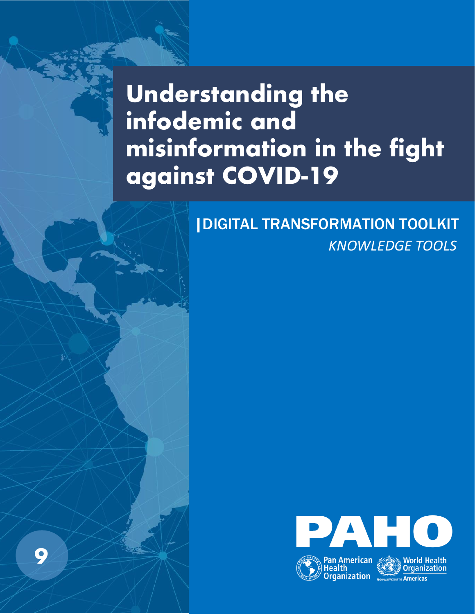# **Understanding the infodemic and misinformation in the fight against COVID-19**

**9**

# *KNOWLEDGE TOOLS* |DIGITAL TRANSFORMATION TOOLKIT

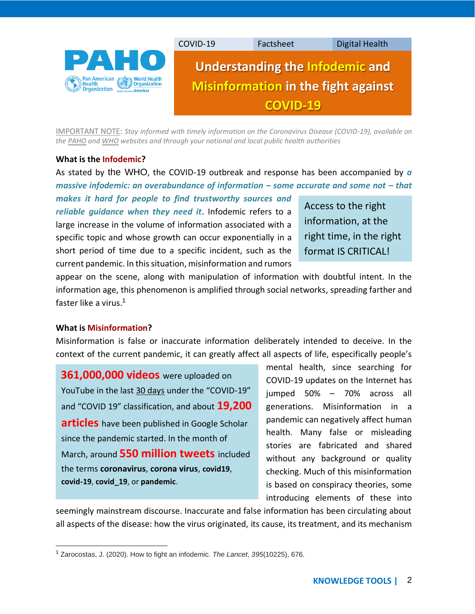

IMPORTANT NOTE: *Stay informed with timely information on the Coronavirus Disease (COVID-19), available on th[e PAHO](https://www.paho.org/en/topics/coronavirus-infections/coronavirus-disease-covid-19) an[d WHO](https://www.who.int/emergencies/diseases/novel-coronavirus-2019/advice-for-public) websites and through your national and local public health authorities*

#### **What is the Infodemic?**

As stated by the WHO, the COVID-19 outbreak and response has been accompanied by *a massive infodemic: an overabundance of information – some accurate and some not – that* 

*makes it hard for people to find trustworthy sources and reliable guidance when they need it*. Infodemic refers to a large increase in the volume of information associated with a specific topic and whose growth can occur exponentially in a short period of time due to a specific incident, such as the current pandemic. In this situation, misinformation and rumors

Access to the right information, at the right time, in the right format IS CRITICAL!

appear on the scene, along with manipulation of information with doubtful intent. In the information age, this phenomenon is amplified through social networks, spreading farther and faster like a virus.<sup>1</sup>

#### **What is Misinformation?**

Misinformation is false or inaccurate information deliberately intended to deceive. In the context of the current pandemic, it can greatly affect all aspects of life, especifically people's

**361,000,000 videos** were uploaded on YouTube in the last 30 days under the "COVID-19" and "COVID 19" classification, and about **19,200 articles** have been published in Google Scholar since the pandemic started. In the month of March, around **550 million tweets** included the terms **coronavirus**, **corona virus**, **covid19**, **covid-19**, **covid\_19**, or **pandemic**.

mental health, since searching for COVID-19 updates on the Internet has jumped 50% – 70% across all generations. Misinformation in a pandemic can negatively affect human health. Many false or misleading stories are fabricated and shared without any background or quality checking. Much of this misinformation is based on conspiracy theories, some introducing elements of these into

seemingly mainstream discourse. Inaccurate and false information has been circulating about all aspects of the disease: how the virus originated, its cause, its treatment, and its mechanism

<sup>1</sup> Zarocostas, J. (2020). How to fight an infodemic. *The Lancet*, *395*(10225), 676.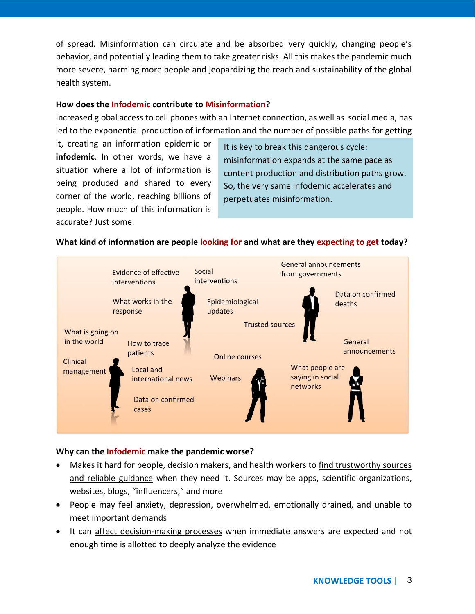of spread. Misinformation can circulate and be absorbed very quickly, changing people's behavior, and potentially leading them to take greater risks. All this makes the pandemic much more severe, harming more people and jeopardizing the reach and sustainability of the global health system.

#### **How does the Infodemic contribute to Misinformation?**

Increased global access to cell phones with an Internet connection, as well as social media, has led to the exponential production of information and the number of possible paths for getting

it, creating an information epidemic or **infodemic**. In other words, we have a situation where a lot of information is being produced and shared to every corner of the world, reaching billions of people. How much of this information is accurate? Just some.

It is key to break this dangerous cycle: misinformation expands at the same pace as content production and distribution paths grow. So, the very same infodemic accelerates and perpetuates misinformation.

# **What kind of information are people looking for and what are they expecting to get today?**



# **Why can the Infodemic make the pandemic worse?**

- Makes it hard for people, decision makers, and health workers to find trustworthy sources and reliable guidance when they need it. Sources may be apps, scientific organizations, websites, blogs, "influencers," and more
- People may feel anxiety, depression, overwhelmed, emotionally drained, and unable to meet important demands
- It can affect decision-making processes when immediate answers are expected and not enough time is allotted to deeply analyze the evidence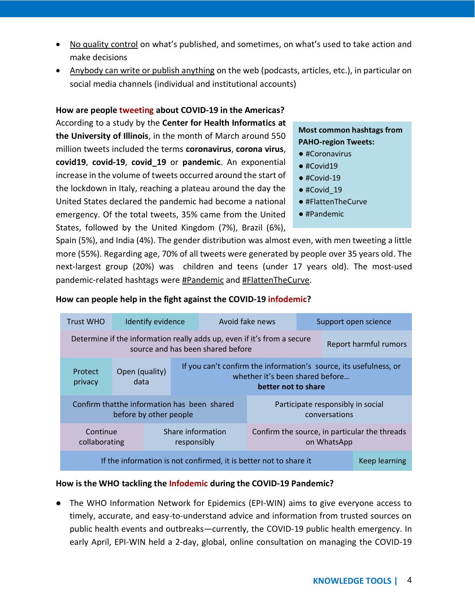- No quality control on what's published, and sometimes, on what's used to take action and make decisions
- Anybody can write or publish anything on the web (podcasts, articles, etc.), in particular on social media channels (individual and institutional accounts)

# **How are people tweeting about COVID-19 in the Americas?**

According to a study by the **[Center for Health Informatics](https://chi.healtheng.illinois.edu/) at [the University of Illinois](https://chi.healtheng.illinois.edu/)**, in the month of March around 550 million tweets included the terms **coronavirus**, **corona virus**, **covid19**, **covid-19**, **covid\_19** or **pandemic**. An exponential increase in the volume of tweets occurred around the start of the lockdown in Italy, reaching a plateau around the day the United States declared the pandemic had become a national emergency. Of the total tweets, 35% came from the United States, followed by the United Kingdom (7%), Brazil (6%),

# **Most common hashtags from PAHO-region Tweets:**

- #Coronavirus
- #Covid19
- $•$ #Covid-19
- #Covid\_19
- #FlattenTheCurve
- #Pandemic

Spain (5%), and India (4%). The gender distribution was almost even, with men tweeting a little more (55%). Regarding age, 70% of all tweets were generated by people over 35 years old. The next-largest group (20%) was children and teens (under 17 years old). The most-used pandemic-related hashtags were #Pandemic and #FlattenTheCurve.

| <b>Trust WHO</b>                                                                                                                      | Identify evidence |                        | Avoid fake news                  |  | Support open science                               |                                                                                                                             |  |  |
|---------------------------------------------------------------------------------------------------------------------------------------|-------------------|------------------------|----------------------------------|--|----------------------------------------------------|-----------------------------------------------------------------------------------------------------------------------------|--|--|
| Determine if the information really adds up, even if it's from a secure<br>Report harmful rumors<br>source and has been shared before |                   |                        |                                  |  |                                                    |                                                                                                                             |  |  |
| Protect<br>privacy                                                                                                                    |                   | Open (quality)<br>data |                                  |  |                                                    | If you can't confirm the information's source, its usefulness, or<br>whether it's been shared before<br>better not to share |  |  |
| Confirm that the information has been shared<br>before by other people                                                                |                   |                        |                                  |  | Participate responsibly in social<br>conversations |                                                                                                                             |  |  |
| Continue<br>collaborating                                                                                                             |                   |                        | Share information<br>responsibly |  |                                                    | Confirm the source, in particular the threads<br>on WhatsApp                                                                |  |  |
| If the information is not confirmed, it is better not to share it<br>Keep learning                                                    |                   |                        |                                  |  |                                                    |                                                                                                                             |  |  |

# **How can people help in the fight against the COVID-19 infodemic?**

# **How is the WHO tackling the Infodemic during the COVID-19 Pandemic?**

● The WHO Information Network for Epidemics (EPI-WIN) aims to give everyone access to timely, accurate, and easy-to-understand advice and information from trusted sources on public health events and outbreaks—currently, the COVID-19 public health emergency. In early April, EPI-WIN held a 2-day, global, online consultation on managing the COVID-19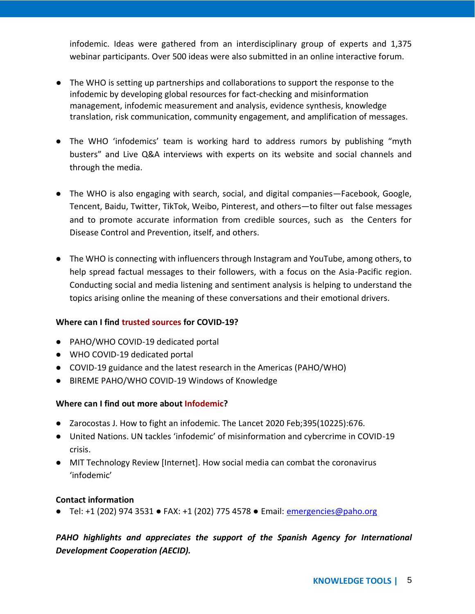infodemic. Ideas were gathered from an interdisciplinary group of experts and 1,375 webinar participants. Over 500 ideas were also submitted in an online interactive forum.

- The WHO is setting up partnerships and collaborations to support the response to the infodemic by developing global resources for fact-checking and misinformation management, infodemic measurement and analysis, evidence synthesis, knowledge translation, risk communication, community engagement, and amplification of messages.
- The WHO 'infodemics' team is working hard to address rumors by publishing "myth busters" and Live Q&A interviews with experts on its website and social channels and through the media.
- The WHO is also engaging with search, social, and digital companies—Facebook, Google, Tencent, Baidu, Twitter, TikTok, Weibo, Pinterest, and others—to filter out false messages and to promote accurate information from credible sources, such as the Centers for Disease Control and Prevention, itself, and others.
- The WHO is connecting with influencers through Instagram and YouTube, among others, to help spread factual messages to their followers, with a focus on the Asia-Pacific region. Conducting social and media listening and sentiment analysis is helping to understand the topics arising online the meaning of these conversations and their emotional drivers.

# **Where can I find trusted sources for COVID-19?**

- [PAHO/WHO COVID-19 dedicated portal](https://www.paho.org/en/topics/coronavirus-infections/coronavirus-disease-covid-19)
- [WHO COVID-19 dedicated portal](https://www.who.int/emergencies/diseases/novel-coronavirus-2019)
- [COVID-19 guidance and the latest research in the Americas \(PAHO/WHO\)](https://covid19-evidence.paho.org/)
- [BIREME PAHO/WHO COVID-19 Windows of Knowledge](https://bvsalud.org/vitrinas/en/post_vitrines/)

# **Where can I find out more about Infodemic?**

- Zarocostas J. How to fight an infodemic. The Lancet 2020 Feb;395(10225):676.
- United Nations[. UN tackles 'infodemic' of misinformation and cybercrime in COVID](https://www.un.org/en/un-coronavirus-communications-team/un-tackling-%E2%80%98infodemic%E2%80%99-misinformation-and-cybercrime-covid-19)-19 [crisis.](https://www.un.org/en/un-coronavirus-communications-team/un-tackling-%E2%80%98infodemic%E2%80%99-misinformation-and-cybercrime-covid-19)
- [MIT Technology Review \[Internet\]. How social media can](https://www.technologyreview.com/2020/03/17/905279/facebook-twitter-social-media-infodemic-misinformation/) combat the coronavirus ['infodemic'](https://www.technologyreview.com/2020/03/17/905279/facebook-twitter-social-media-infodemic-misinformation/)

#### **Contact information**

● Tel: +1 (202) 974 3531 • FAX: +1 (202) 775 4578 • Email: [emergencies@paho.org](mailto:emergencies@paho.org)

# *PAHO highlights and appreciates the support of the Spanish Agency for International Development Cooperation (AECID).*